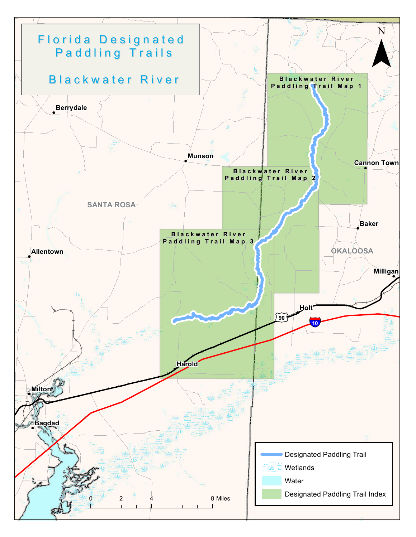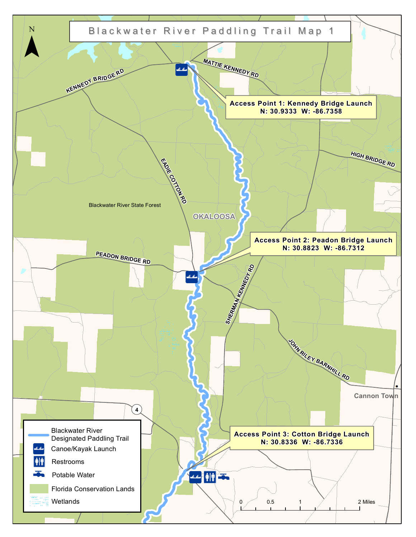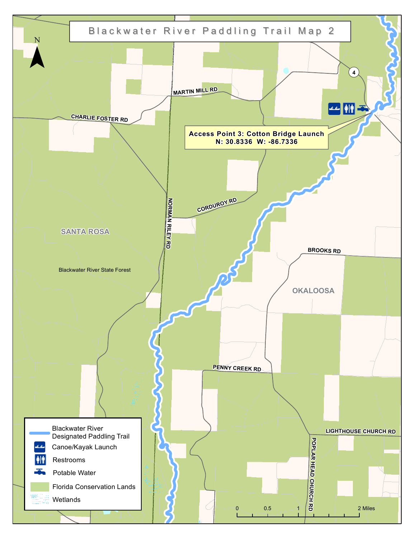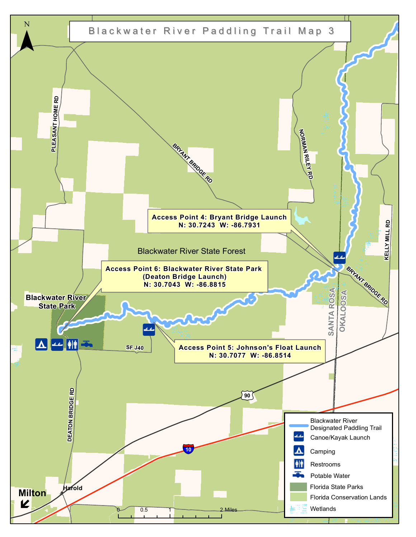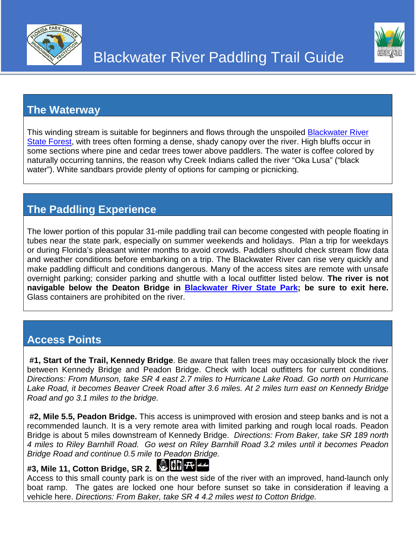

### **The Waterway**

This winding stream is suitable for beginners and flows through the unspoiled [Blackwater River](http://www.freshfromflorida.com/Divisions-Offices/Florida-Forest-Service/Our-Forests/State-Forests/Blackwater-River-State-Forest)  [State Forest,](http://www.freshfromflorida.com/Divisions-Offices/Florida-Forest-Service/Our-Forests/State-Forests/Blackwater-River-State-Forest) with trees often forming a dense, shady canopy over the river. High bluffs occur in some sections where pine and cedar trees tower above paddlers. The water is coffee colored by naturally occurring tannins, the reason why Creek Indians called the river "Oka Lusa" ("black water"). White sandbars provide plenty of options for camping or picnicking.

Blackwater River Paddling Trail Guide

# **The Paddling Experience**

The lower portion of this popular 31-mile paddling trail can become congested with people floating in tubes near the state park, especially on summer weekends and holidays. Plan a trip for weekdays or during Florida's pleasant winter months to avoid crowds. Paddlers should check stream flow data and weather conditions before embarking on a trip. The Blackwater River can rise very quickly and make paddling difficult and conditions dangerous. Many of the access sites are remote with unsafe overnight parking; consider parking and shuttle with a local outfitter listed below. **The river is not navigable below the Deaton Bridge in [Blackwater River State Park;](https://www.floridastateparks.org/park/Blackwater-River) be sure to exit here.** Glass containers are prohibited on the river.

### **Access Points**

**#1, Start of the Trail, Kennedy Bridge**. Be aware that fallen trees may occasionally block the river between Kennedy Bridge and Peadon Bridge. Check with local outfitters for current conditions. *Directions: From Munson, take SR 4 east 2.7 miles to Hurricane Lake Road. Go north on Hurricane Lake Road, it becomes Beaver Creek Road after 3.6 miles. At 2 miles turn east on Kennedy Bridge Road and go 3.1 miles to the bridge.*

**#2, Mile 5.5, Peadon Bridge.** This access is unimproved with erosion and steep banks and is not a recommended launch. It is a very remote area with limited parking and rough local roads. Peadon Bridge is about 5 miles downstream of Kennedy Bridge. *Directions: From Baker, take SR 189 north 4 miles to Riley Barnhill Road. Go west on Riley Barnhill Road 3.2 miles until it becomes Peadon Bridge Road and continue 0.5 mile to Peadon Bridge.*

# **#3, Mile 11, Cotton Bridge, SR 2.**



Access to this small county park is on the west side of the river with an improved, hand-launch only boat ramp. The gates are locked one hour before sunset so take in consideration if leaving a vehicle here. *Directions: From Baker, take SR 4 4.2 miles west to Cotton Bridge.*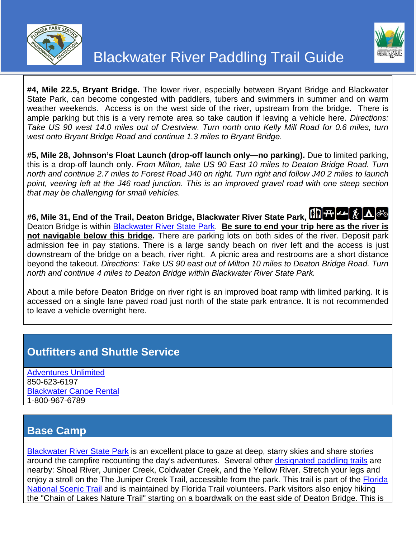



**#4, Mile 22.5, Bryant Bridge.** The lower river, especially between Bryant Bridge and Blackwater State Park, can become congested with paddlers, tubers and swimmers in summer and on warm weather weekends. Access is on the west side of the river, upstream from the bridge. There is ample parking but this is a very remote area so take caution if leaving a vehicle here. *Directions: Take US 90 west 14.0 miles out of Crestview. Turn north onto Kelly Mill Road for 0.6 miles, turn west onto Bryant Bridge Road and continue 1.3 miles to Bryant Bridge.*

**#5, Mile 28, Johnson's Float Launch (drop-off launch only—no parking).** Due to limited parking, this is a drop-off launch only. *From Milton, take US 90 East 10 miles to Deaton Bridge Road. Turn north and continue 2.7 miles to Forest Road J40 on right. Turn right and follow J40 2 miles to launch point, veering left at the J46 road junction. This is an improved gravel road with one steep section that may be challenging for small vehicles.* 

**#6, Mile 31, End of the Trail, Deaton Bridge, Blackwater River State Park,**  Deaton Bridge is within [Blackwater River State Park.](https://www.floridastateparks.org/park/Blackwater-River) **Be sure to end your trip here as the river is not navigable below this bridge.** There are parking lots on both sides of the river. Deposit park admission fee in pay stations. There is a large sandy beach on river left and the access is just downstream of the bridge on a beach, river right. A picnic area and restrooms are a short distance beyond the takeout. *Directions: Take US 90 east out of Milton 10 miles to Deaton Bridge Road. Turn north and continue 4 miles to Deaton Bridge within Blackwater River State Park.*

About a mile before Deaton Bridge on river right is an improved boat ramp with limited parking. It is accessed on a single lane paved road just north of the state park entrance. It is not recommended to leave a vehicle overnight here.

## **Outfitters and Shuttle Service**

[Adventures Unlimited](http://www.adventuresunlimited.com/) 850-623-6197 [Blackwater Canoe Rental](http://blackwatercanoe.com/) 1-800-967-6789

### **Base Camp**

[Blackwater River State Park](https://www.floridastateparks.org/park/Blackwater-River) is an excellent place to gaze at deep, starry skies and share stories around the campfire recounting the day's adventures. Several other [designated paddling trails](http://www.dep.state.fl.us/gwt/guide/paddle.htm) are nearby: Shoal River, Juniper Creek, Coldwater Creek, and the Yellow River. Stretch your legs and enjoy a stroll on the The Juniper Creek Trail, accessible from the park. This trail is part of the [Florida](http://www.fs.usda.gov/fnst)  [National Scenic Trail](http://www.fs.usda.gov/fnst) and is maintained by Florida Trail volunteers. Park visitors also enjoy hiking the "Chain of Lakes Nature Trail" starting on a boardwalk on the east side of Deaton Bridge. This is